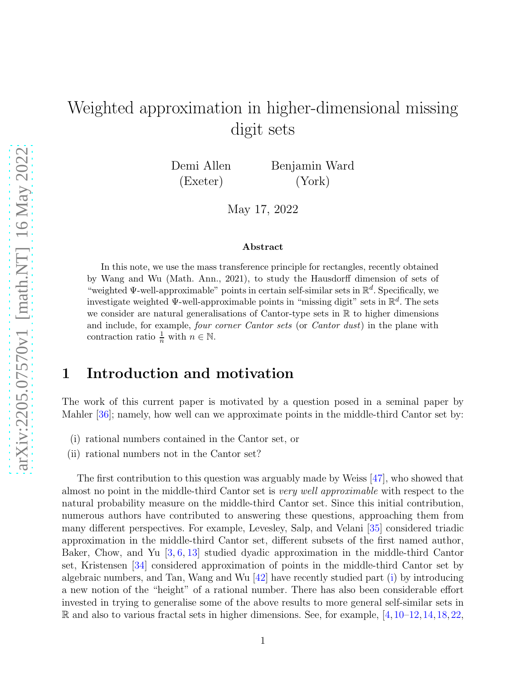# <span id="page-0-1"></span>Weighted approximation in higher-dimensional missing digit sets

Demi Allen (Exeter)

Benjamin Ward (York)

May 17, 2022

#### Abstract

In this note, we use the mass transference principle for rectangles, recently obtained by Wang and Wu (Math. Ann., 2021), to study the Hausdorff dimension of sets of "weighted  $\Psi$ -well-approximable" points in certain self-similar sets in  $\mathbb{R}^d$ . Specifically, we investigate weighted  $\Psi$ -well-approximable points in "missing digit" sets in  $\mathbb{R}^d$ . The sets we consider are natural generalisations of Cantor-type sets in R to higher dimensions and include, for example, four corner Cantor sets (or Cantor dust) in the plane with contraction ratio  $\frac{1}{n}$  with  $n \in \mathbb{N}$ .

## 1 Introduction and motivation

The work of this current paper is motivated by a question posed in a seminal paper by Mahler [\[36\]](#page-18-0); namely, how well can we approximate points in the middle-third Cantor set by:

- <span id="page-0-0"></span>(i) rational numbers contained in the Cantor set, or
- (ii) rational numbers not in the Cantor set?

The first contribution to this question was arguably made by Weiss [\[47\]](#page-18-1), who showed that almost no point in the middle-third Cantor set is very well approximable with respect to the natural probability measure on the middle-third Cantor set. Since this initial contribution, numerous authors have contributed to answering these questions, approaching them from many different perspectives. For example, Levesley, Salp, and Velani [\[35\]](#page-18-2) considered triadic approximation in the middle-third Cantor set, different subsets of the first named author, Baker, Chow, and Yu [\[3,](#page-16-0) [6,](#page-16-1) [13\]](#page-17-0) studied dyadic approximation in the middle-third Cantor set, Kristensen [\[34\]](#page-18-3) considered approximation of points in the middle-third Cantor set by algebraic numbers, and Tan, Wang and Wu  $|42|$  have recently studied part [\(i\)](#page-0-0) by introducing a new notion of the "height" of a rational number. There has also been considerable effort invested in trying to generalise some of the above results to more general self-similar sets in R and also to various fractal sets in higher dimensions. See, for example,  $[4, 10-12, 14, 18, 22,$  $[4, 10-12, 14, 18, 22,$  $[4, 10-12, 14, 18, 22,$  $[4, 10-12, 14, 18, 22,$  $[4, 10-12, 14, 18, 22,$  $[4, 10-12, 14, 18, 22,$  $[4, 10-12, 14, 18, 22,$  $[4, 10-12, 14, 18, 22,$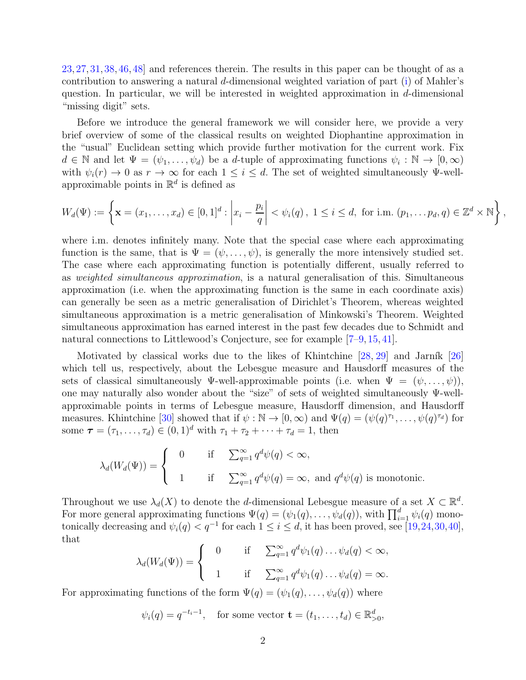<span id="page-1-0"></span>[23,](#page-17-4) [27,](#page-17-5) [31,](#page-17-6) [38,](#page-18-5) [46,](#page-18-6) [48\]](#page-18-7) and references therein. The results in this paper can be thought of as a contribution to answering a natural d-dimensional weighted variation of part [\(i\)](#page-0-0) of Mahler's question. In particular, we will be interested in weighted approximation in  $d$ -dimensional "missing digit" sets.

Before we introduce the general framework we will consider here, we provide a very brief overview of some of the classical results on weighted Diophantine approximation in the "usual" Euclidean setting which provide further motivation for the current work. Fix  $d \in \mathbb{N}$  and let  $\Psi = (\psi_1, \dots, \psi_d)$  be a d-tuple of approximating functions  $\psi_i : \mathbb{N} \to [0, \infty)$ with  $\psi_i(r) \to 0$  as  $r \to \infty$  for each  $1 \leq i \leq d$ . The set of weighted simultaneously  $\Psi$ -wellapproximable points in  $\mathbb{R}^d$  is defined as

$$
W_d(\Psi) := \left\{ \mathbf{x} = (x_1, \dots, x_d) \in [0,1]^d : \left| x_i - \frac{p_i}{q} \right| < \psi_i(q), \ 1 \leq i \leq d, \text{ for i.m. } (p_1, \dots, p_d, q) \in \mathbb{Z}^d \times \mathbb{N} \right\},
$$

where i.m. denotes infinitely many. Note that the special case where each approximating function is the same, that is  $\Psi = (\psi, \dots, \psi)$ , is generally the more intensively studied set. The case where each approximating function is potentially different, usually referred to as weighted simultaneous approximation, is a natural generalisation of this. Simultaneous approximation (i.e. when the approximating function is the same in each coordinate axis) can generally be seen as a metric generalisation of Dirichlet's Theorem, whereas weighted simultaneous approximation is a metric generalisation of Minkowski's Theorem. Weighted simultaneous approximation has earned interest in the past few decades due to Schmidt and natural connections to Littlewood's Conjecture, see for example [\[7–](#page-16-5)[9,](#page-16-6) [15,](#page-17-7) [41\]](#page-18-8).

Motivated by classical works due to the likes of Khintchine  $[28, 29]$  $[28, 29]$  and Jarník  $[26]$ which tell us, respectively, about the Lebesgue measure and Hausdorff measures of the sets of classical simultaneously  $\Psi$ -well-approximable points (i.e. when  $\Psi = (\psi, \dots, \psi)$ ), one may naturally also wonder about the "size" of sets of weighted simultaneously Ψ-wellapproximable points in terms of Lebesgue measure, Hausdorff dimension, and Hausdorff measures. Khintchine [\[30\]](#page-17-11) showed that if  $\psi : \mathbb{N} \to [0, \infty)$  and  $\Psi(q) = (\psi(q)^{\tau_1}, \dots, \psi(q)^{\tau_d})$  for some  $\tau = (\tau_1, ..., \tau_d) \in (0, 1)^d$  with  $\tau_1 + \tau_2 + \cdots + \tau_d = 1$ , then

$$
\lambda_d(W_d(\Psi)) = \begin{cases} 0 & \text{if } \sum_{q=1}^{\infty} q^d \psi(q) < \infty, \\ 1 & \text{if } \sum_{q=1}^{\infty} q^d \psi(q) = \infty, \text{ and } q^d \psi(q) \text{ is monotonic.} \end{cases}
$$

Throughout we use  $\lambda_d(X)$  to denote the d-dimensional Lebesgue measure of a set  $X \subset \mathbb{R}^d$ . For more general approximating functions  $\Psi(q) = (\psi_1(q), \dots, \psi_d(q)),$  with  $\prod_{i=1}^d \psi_i(q)$  monotonically decreasing and  $\psi_i(q) < q^{-1}$  for each  $1 \leq i \leq d$ , it has been proved, see [\[19,](#page-17-12)[24,](#page-17-13)[30,](#page-17-11)[40\]](#page-18-9), that

$$
\lambda_d(W_d(\Psi)) = \begin{cases} 0 & \text{if } \sum_{q=1}^{\infty} q^d \psi_1(q) \dots \psi_d(q) < \infty, \\ 1 & \text{if } \sum_{q=1}^{\infty} q^d \psi_1(q) \dots \psi_d(q) = \infty. \end{cases}
$$

For approximating functions of the form  $\Psi(q) = (\psi_1(q), \dots, \psi_d(q))$  where

$$
\psi_i(q) = q^{-t_i-1}
$$
, for some vector  $\mathbf{t} = (t_1, \dots, t_d) \in \mathbb{R}_{>0}^d$ ,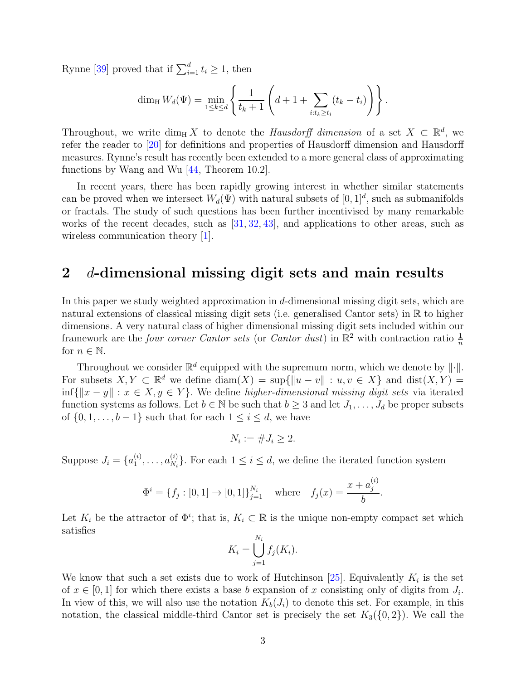<span id="page-2-0"></span>Rynne [\[39\]](#page-18-10) proved that if  $\sum_{i=1}^{d} t_i \geq 1$ , then

$$
\dim_{\mathrm{H}} W_d(\Psi) = \min_{1 \le k \le d} \left\{ \frac{1}{t_k + 1} \left( d + 1 + \sum_{i : t_k \ge t_i} (t_k - t_i) \right) \right\}.
$$

Throughout, we write  $\dim_{\mathrm{H}} X$  to denote the *Hausdorff dimension* of a set  $X \subset \mathbb{R}^d$ , we refer the reader to [\[20\]](#page-17-14) for definitions and properties of Hausdorff dimension and Hausdorff measures. Rynne's result has recently been extended to a more general class of approximating functions by Wang and Wu [\[44,](#page-18-11) Theorem 10.2].

In recent years, there has been rapidly growing interest in whether similar statements can be proved when we intersect  $W_d(\Psi)$  with natural subsets of  $[0,1]^d$ , such as submanifolds or fractals. The study of such questions has been further incentivised by many remarkable works of the recent decades, such as [\[31,](#page-17-6) [32,](#page-17-15) [43\]](#page-18-12), and applications to other areas, such as wireless communication theory [\[1\]](#page-16-7).

#### 2 d-dimensional missing digit sets and main results

In this paper we study weighted approximation in d-dimensional missing digit sets, which are natural extensions of classical missing digit sets (i.e. generalised Cantor sets) in R to higher dimensions. A very natural class of higher dimensional missing digit sets included within our framework are the *four corner Cantor sets* (or *Cantor dust*) in  $\mathbb{R}^2$  with contraction ratio  $\frac{1}{n}$ for  $n \in \mathbb{N}$ .

Throughout we consider  $\mathbb{R}^d$  equipped with the supremum norm, which we denote by  $\|\cdot\|$ . For subsets  $X, Y \subset \mathbb{R}^d$  we define  $\text{diam}(X) = \sup\{\|u - v\| : u, v \in X\}$  and  $\text{dist}(X, Y) =$ inf{ $||x - y||$  :  $x \in X, y \in Y$ }. We define *higher-dimensional missing digit sets* via iterated function systems as follows. Let  $b \in \mathbb{N}$  be such that  $b \geq 3$  and let  $J_1, \ldots, J_d$  be proper subsets of  $\{0, 1, \ldots, b-1\}$  such that for each  $1 \leq i \leq d$ , we have

$$
N_i := \#J_i \ge 2.
$$

Suppose  $J_i = \{a_1^{(i)}\}$  $\overset{(i)}{1},\ldots,\overset{(i)}{a_{N_i}}$  $\{X_{N_i}\}_{N_i}$ . For each  $1 \leq i \leq d$ , we define the iterated function system

$$
\Phi^{i} = \{f_j : [0, 1] \to [0, 1]\}_{j=1}^{N_i} \quad \text{where} \quad f_j(x) = \frac{x + a_j^{(i)}}{b}.
$$

Let  $K_i$  be the attractor of  $\Phi^i$ ; that is,  $K_i \subset \mathbb{R}$  is the unique non-empty compact set which satisfies

$$
K_i = \bigcup_{j=1}^{N_i} f_j(K_i).
$$

We know that such a set exists due to work of Hutchinson [\[25\]](#page-17-16). Equivalently  $K_i$  is the set of  $x \in [0,1]$  for which there exists a base b expansion of x consisting only of digits from  $J_i$ . In view of this, we will also use the notation  $K_b(J_i)$  to denote this set. For example, in this notation, the classical middle-third Cantor set is precisely the set  $K_3({0, 2})$ . We call the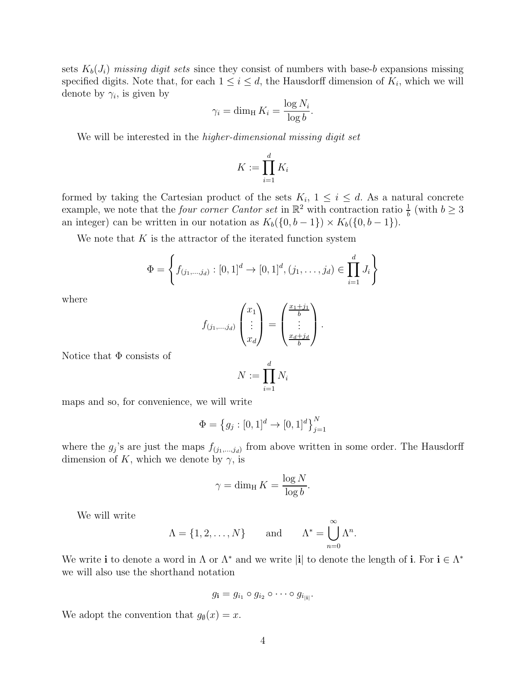sets  $K_b(J_i)$  missing digit sets since they consist of numbers with base-b expansions missing specified digits. Note that, for each  $1 \leq i \leq d$ , the Hausdorff dimension of  $K_i$ , which we will denote by  $\gamma_i$ , is given by

$$
\gamma_i = \dim_{\mathrm{H}} K_i = \frac{\log N_i}{\log b}.
$$

We will be interested in the *higher-dimensional missing digit set* 

$$
K := \prod_{i=1}^d K_i
$$

formed by taking the Cartesian product of the sets  $K_i$ ,  $1 \leq i \leq d$ . As a natural concrete example, we note that the *four corner Cantor set* in  $\mathbb{R}^2$  with contraction ratio  $\frac{1}{b}$  (with  $b \geq 3$ an integer) can be written in our notation as  $K_b({0, b-1}) \times K_b({0, b-1})$ .

We note that  $K$  is the attractor of the iterated function system

$$
\Phi = \left\{ f_{(j_1,\ldots,j_d)} : [0,1]^d \to [0,1]^d, (j_1,\ldots,j_d) \in \prod_{i=1}^d J_i \right\}
$$

where

$$
f_{(j_1,\ldots,j_d)}\begin{pmatrix}x_1\\ \vdots\\ x_d\end{pmatrix}=\begin{pmatrix}\frac{x_1+j_1}{b}\\ \vdots\\ \frac{x_d+j_d}{b}\end{pmatrix}.
$$

Notice that  $\Phi$  consists of

$$
N := \prod_{i=1}^d N_i
$$

maps and so, for convenience, we will write

$$
\Phi = \left\{ g_j : [0,1]^d \to [0,1]^d \right\}_{j=1}^N
$$

where the  $g_j$ 's are just the maps  $f_{(j_1,...,j_d)}$  from above written in some order. The Hausdorff dimension of K, which we denote by  $\gamma$ , is

$$
\gamma = \dim_{\mathrm{H}} K = \frac{\log N}{\log b}.
$$

We will write

$$
\Lambda = \{1, 2, \dots, N\} \quad \text{and} \quad \Lambda^* = \bigcup_{n=0}^{\infty} \Lambda^n.
$$

We write i to denote a word in  $\Lambda$  or  $\Lambda^*$  and we write |i| to denote the length of i. For  $i \in \Lambda^*$ we will also use the shorthand notation

$$
g_{\mathbf{i}} = g_{i_1} \circ g_{i_2} \circ \cdots \circ g_{i_{|\mathbf{i}|}}.
$$

We adopt the convention that  $g_{\emptyset}(x) = x$ .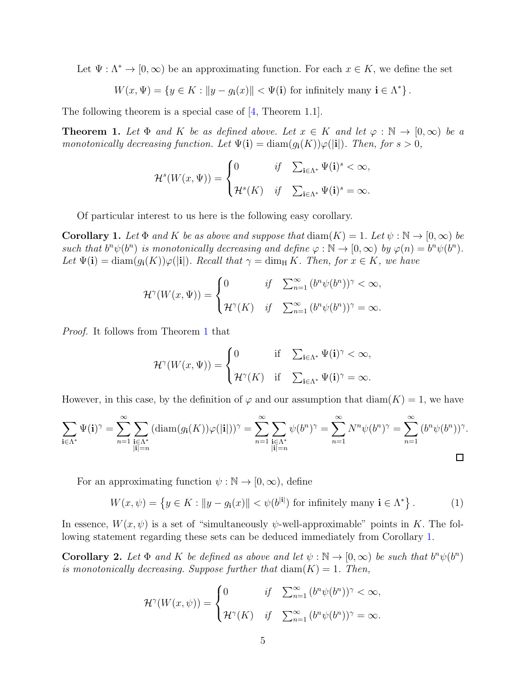<span id="page-4-4"></span>Let  $\Psi : \Lambda^* \to [0, \infty)$  be an approximating function. For each  $x \in K$ , we define the set

$$
W(x, \Psi) = \{ y \in K : ||y - g_i(x)|| < \Psi(i) \text{ for infinitely many } i \in \Lambda^* \}.
$$

The following theorem is a special case of [\[4,](#page-16-2) Theorem 1.1].

<span id="page-4-0"></span>**Theorem 1.** Let  $\Phi$  and K be as defined above. Let  $x \in K$  and let  $\varphi : \mathbb{N} \to [0, \infty)$  be a monotonically decreasing function. Let  $\Psi(i) = \text{diam}(q_i(K))\varphi(|i|)$ . Then, for  $s > 0$ ,

$$
\mathcal{H}^s(W(x,\Psi)) = \begin{cases} 0 & \text{if} \quad \sum_{\mathbf{i} \in \Lambda^*} \Psi(\mathbf{i})^s < \infty, \\ \mathcal{H}^s(K) & \text{if} \quad \sum_{\mathbf{i} \in \Lambda^*} \Psi(\mathbf{i})^s = \infty. \end{cases}
$$

Of particular interest to us here is the following easy corollary.

<span id="page-4-1"></span>**Corollary 1.** Let  $\Phi$  and K be as above and suppose that  $\text{diam}(K) = 1$ . Let  $\psi : \mathbb{N} \to [0, \infty)$  be such that  $b^n \psi(b^n)$  is monotonically decreasing and define  $\varphi : \mathbb{N} \to [0, \infty)$  by  $\varphi(n) = b^n \psi(b^n)$ . Let  $\Psi(i) = \text{diam}(g_i(K))\varphi(i)$ . Recall that  $\gamma = \text{dim}_{\text{H}} K$ . Then, for  $x \in K$ , we have

$$
\mathcal{H}^{\gamma}(W(x,\Psi)) = \begin{cases} 0 & \text{if } \sum_{n=1}^{\infty} (b^n \psi(b^n))^{\gamma} < \infty, \\ \mathcal{H}^{\gamma}(K) & \text{if } \sum_{n=1}^{\infty} (b^n \psi(b^n))^{\gamma} = \infty. \end{cases}
$$

Proof. It follows from Theorem [1](#page-4-0) that

$$
\mathcal{H}^{\gamma}(W(x,\Psi)) = \begin{cases} 0 & \text{if } \sum_{\mathbf{i} \in \Lambda^*} \Psi(\mathbf{i})^{\gamma} < \infty, \\ \mathcal{H}^{\gamma}(K) & \text{if } \sum_{\mathbf{i} \in \Lambda^*} \Psi(\mathbf{i})^{\gamma} = \infty. \end{cases}
$$

However, in this case, by the definition of  $\varphi$  and our assumption that  $\text{diam}(K) = 1$ , we have

$$
\sum_{\mathbf{i}\in\Lambda^*}\Psi(\mathbf{i})^\gamma = \sum_{n=1}^\infty\sum_{\substack{\mathbf{i}\in\Lambda^*\\|\mathbf{i}|=n}}(\text{diam}(g_\mathbf{i}(K))\varphi(|\mathbf{i}|))^\gamma = \sum_{n=1}^\infty\sum_{\substack{\mathbf{i}\in\Lambda^*\\|\mathbf{i}|=n}}\psi(b^n)^\gamma = \sum_{n=1}^\infty N^n\psi(b^n)^\gamma = \sum_{n=1}^\infty (b^n\psi(b^n))^\gamma.
$$

For an approximating function  $\psi : \mathbb{N} \to [0, \infty)$ , define

$$
W(x,\psi) = \left\{ y \in K : ||y - g_{\mathbf{i}}(x)|| < \psi(b^{|\mathbf{i}|}) \text{ for infinitely many } \mathbf{i} \in \Lambda^* \right\}.
$$
 (1)

In essence,  $W(x, \psi)$  is a set of "simultaneously  $\psi$ -well-approximable" points in K. The following statement regarding these sets can be deduced immediately from Corollary [1.](#page-4-1)

<span id="page-4-3"></span>**Corollary 2.** Let  $\Phi$  and K be defined as above and let  $\psi : \mathbb{N} \to [0, \infty)$  be such that  $b^n \psi(b^n)$ is monotonically decreasing. Suppose further that  $\text{diam}(K) = 1$ . Then,

<span id="page-4-2"></span>
$$
\mathcal{H}^{\gamma}(W(x,\psi)) = \begin{cases} 0 & \text{if } \sum_{n=1}^{\infty} (b^n \psi(b^n))^{\gamma} < \infty, \\ \mathcal{H}^{\gamma}(K) & \text{if } \sum_{n=1}^{\infty} (b^n \psi(b^n))^{\gamma} = \infty. \end{cases}
$$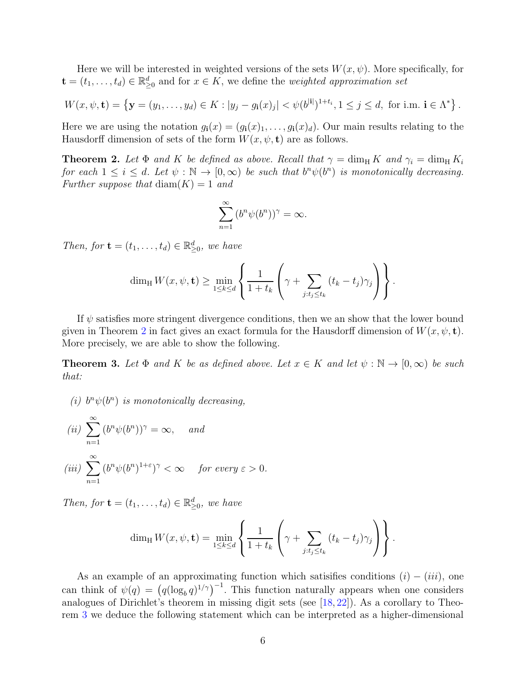<span id="page-5-2"></span>Here we will be interested in weighted versions of the sets  $W(x, \psi)$ . More specifically, for  $\mathbf{t} = (t_1, \ldots, t_d) \in \mathbb{R}_{\geq 0}^d$  and for  $x \in K$ , we define the *weighted approximation set* 

$$
W(x, \psi, \mathbf{t}) = \left\{ \mathbf{y} = (y_1, \dots, y_d) \in K : |y_j - g_i(x)_j| < \psi(b^{[i]})^{1+t_i}, 1 \le j \le d, \text{ for i.m. } \mathbf{i} \in \Lambda^* \right\}.
$$

Here we are using the notation  $g_i(x) = (g_i(x)_1, \ldots, g_i(x)_d)$ . Our main results relating to the Hausdorff dimension of sets of the form  $W(x, \psi, \mathbf{t})$  are as follows.

<span id="page-5-0"></span>**Theorem 2.** Let  $\Phi$  and K be defined as above. Recall that  $\gamma = \dim_{\text{H}} K$  and  $\gamma_i = \dim_{\text{H}} K_i$ for each  $1 \leq i \leq d$ . Let  $\psi : \mathbb{N} \to [0, \infty)$  be such that  $b^n \psi(b^n)$  is monotonically decreasing. Further suppose that  $\text{diam}(K) = 1$  and

$$
\sum_{n=1}^{\infty} (b^n \psi(b^n))^{\gamma} = \infty.
$$

Then, for  $\mathbf{t} = (t_1, \ldots, t_d) \in \mathbb{R}^d_{\geq 0}$ , we have

$$
\dim_{\mathrm{H}} W(x,\psi,\mathbf{t}) \geq \min_{1 \leq k \leq d} \left\{ \frac{1}{1+t_k} \left( \gamma + \sum_{j:t_j \leq t_k} (t_k - t_j) \gamma_j \right) \right\}.
$$

If  $\psi$  satisfies more stringent divergence conditions, then we an show that the lower bound given in Theorem [2](#page-5-0) in fact gives an exact formula for the Hausdorff dimension of  $W(x, \psi, \mathbf{t})$ . More precisely, we are able to show the following.

<span id="page-5-1"></span>**Theorem 3.** Let  $\Phi$  and K be as defined above. Let  $x \in K$  and let  $\psi : \mathbb{N} \to [0, \infty)$  be such that:

(i)  $b^n \psi(b^n)$  is monotonically decreasing,

$$
(ii) \sum_{n=1}^{\infty} (b^n \psi(b^n))^{\gamma} = \infty, \quad and
$$

$$
(iii) \sum_{n=1}^{\infty} (b^n \psi(b^n)^{1+\epsilon})^{\gamma} < \infty \quad \text{for every } \epsilon > 0.
$$

Then, for  $\mathbf{t} = (t_1, \ldots, t_d) \in \mathbb{R}_{\geq 0}^d$ , we have

$$
\dim_{\mathrm{H}} W(x, \psi, \mathbf{t}) = \min_{1 \leq k \leq d} \left\{ \frac{1}{1+t_k} \left( \gamma + \sum_{j:t_j \leq t_k} (t_k - t_j) \gamma_j \right) \right\}.
$$

As an example of an approximating function which satisifies conditions  $(i) - (iii)$ , one can think of  $\psi(q) = (q(\log_b q)^{1/\gamma})^{-1}$ . This function naturally appears when one considers analogues of Dirichlet's theorem in missing digit sets (see [\[18,](#page-17-2) [22\]](#page-17-3)). As a corollary to Theorem [3](#page-5-1) we deduce the following statement which can be interpreted as a higher-dimensional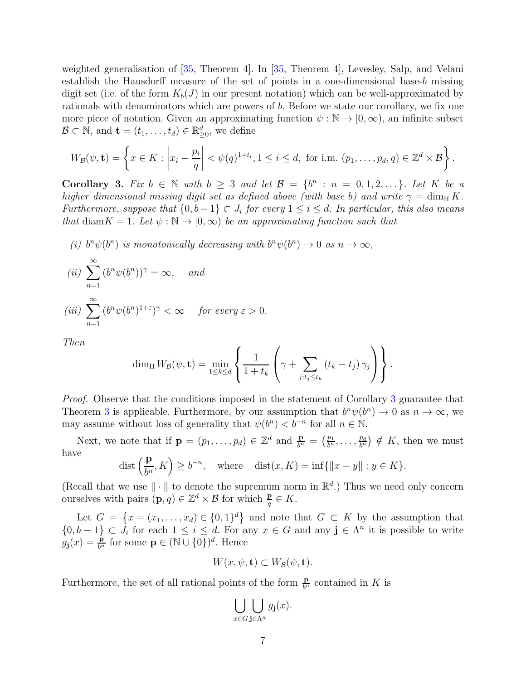<span id="page-6-1"></span>weighted generalisation of [\[35,](#page-18-2) Theorem 4]. In [\[35,](#page-18-2) Theorem 4], Levesley, Salp, and Velani establish the Hausdorff measure of the set of points in a one-dimensional base-b missing digit set (i.e. of the form  $K_b(J)$  in our present notation) which can be well-approximated by rationals with denominators which are powers of b. Before we state our corollary, we fix one more piece of notation. Given an approximating function  $\psi : \mathbb{N} \to [0, \infty)$ , an infinite subset  $\mathcal{B} \subset \mathbb{N}$ , and  $\mathbf{t} = (t_1, \ldots, t_d) \in \mathbb{R}_{\geq 0}^d$ , we define

$$
W_{\mathcal{B}}(\psi, \mathbf{t}) = \left\{ x \in K : \left| x_i - \frac{p_i}{q} \right| < \psi(q)^{1+t_i}, 1 \leq i \leq d, \text{ for i.m. } (p_1, \dots, p_d, q) \in \mathbb{Z}^d \times \mathcal{B} \right\}.
$$

<span id="page-6-0"></span>Corollary 3. Fix  $b \in \mathbb{N}$  with  $b \geq 3$  and let  $\mathcal{B} = \{b^n : n = 0, 1, 2, \ldots\}$ . Let K be a higher dimensional missing digit set as defined above (with base b) and write  $\gamma = \dim_{\text{H}} K$ . Furthermore, suppose that  $\{0,b-1\} \subset J_i$  for every  $1 \leq i \leq d$ . In particular, this also means that diam $K = 1$ . Let  $\psi : \mathbb{N} \to [0, \infty)$  be an approximating function such that

(i)  $b^n \psi(b^n)$  is monotonically decreasing with  $b^n \psi(b^n) \to 0$  as  $n \to \infty$ ,

(ii) 
$$
\sum_{n=1}^{\infty} (b^n \psi(b^n))^{\gamma} = \infty, \text{ and}
$$
  
(iii) 
$$
\sum_{n=1}^{\infty} (b^n \psi(b^n)^{1+\epsilon})^{\gamma} < \infty \text{ for every } \epsilon > 0.
$$

Then

$$
\dim_{\mathrm{H}} W_{\mathcal{B}}(\psi, \mathbf{t}) = \min_{1 \leq k \leq d} \left\{ \frac{1}{1+t_k} \left( \gamma + \sum_{j:t_j \leq t_k} (t_k - t_j) \gamma_j \right) \right\}.
$$

Proof. Observe that the conditions imposed in the statement of Corollary [3](#page-6-0) guarantee that Theorem [3](#page-5-1) is applicable. Furthermore, by our assumption that  $b^n \psi(b^n) \to 0$  as  $n \to \infty$ , we may assume without loss of generality that  $\psi(b^n) < b^{-n}$  for all  $n \in \mathbb{N}$ .

Next, we note that if  $\mathbf{p} = (p_1, \ldots, p_d) \in \mathbb{Z}^d$  and  $\frac{\mathbf{p}}{b^n} = (\frac{p_1}{b^n}, \ldots, \frac{p_d}{b^n})$  $\frac{p_d}{b^n}$   $\notin K$ , then we must have

$$
\text{dist}\left(\frac{\mathbf{p}}{b^n}, K\right) \ge b^{-n}, \quad \text{where} \quad \text{dist}(x, K) = \inf\{\|x - y\| : y \in K\}.
$$

(Recall that we use  $\|\cdot\|$  to denote the supremum norm in  $\mathbb{R}^d$ .) Thus we need only concern ourselves with pairs  $(\mathbf{p}, q) \in \mathbb{Z}^d \times \mathcal{B}$  for which  $\frac{\mathbf{p}}{q} \in K$ .

Let  $G = \{x = (x_1, \ldots, x_d) \in \{0,1\}^d\}$  and note that  $G \subset K$  by the assumption that  $\{0,b-1\} \subset J_i$  for each  $1 \leq i \leq d$ . For any  $x \in G$  and any  $\mathbf{j} \in \Lambda^n$  it is possible to write  $g_{\mathbf{j}}(x) = \frac{\mathbf{p}}{b^n}$  for some  $\mathbf{p} \in (\mathbb{N} \cup \{0\})^d$ . Hence

$$
W(x, \psi, \mathbf{t}) \subset W_{\mathcal{B}}(\psi, \mathbf{t}).
$$

Furthermore, the set of all rational points of the form  $\frac{\mathbf{p}}{b^n}$  contained in K is

$$
\bigcup_{x \in G} \bigcup_{\mathbf{j} \in \Lambda^n} g_{\mathbf{j}}(x).
$$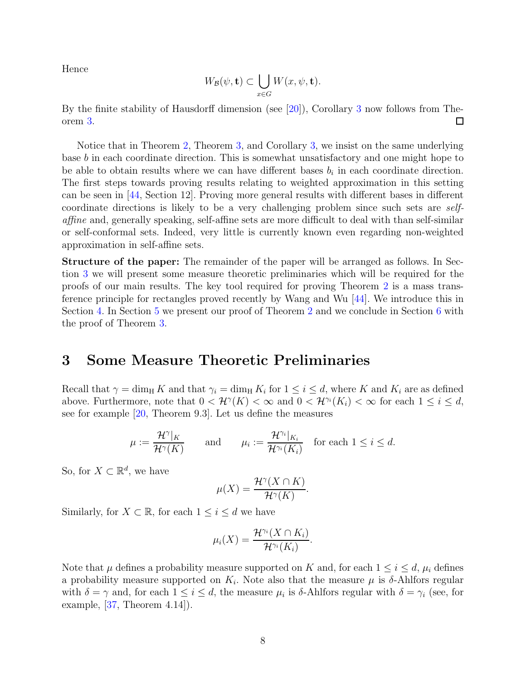<span id="page-7-1"></span>Hence

$$
W_{\mathcal{B}}(\psi, \mathbf{t}) \subset \bigcup_{x \in G} W(x, \psi, \mathbf{t}).
$$

By the finite stability of Hausdorff dimension (see [\[20\]](#page-17-14)), Corollary [3](#page-6-0) now follows from Theorem [3.](#page-5-1)  $\Box$ 

Notice that in Theorem [2,](#page-5-0) Theorem [3,](#page-5-1) and Corollary [3,](#page-6-0) we insist on the same underlying base b in each coordinate direction. This is somewhat unsatisfactory and one might hope to be able to obtain results where we can have different bases  $b_i$  in each coordinate direction. The first steps towards proving results relating to weighted approximation in this setting can be seen in [\[44,](#page-18-11) Section 12]. Proving more general results with different bases in different coordinate directions is likely to be a very challenging problem since such sets are selfaffine and, generally speaking, self-affine sets are more difficult to deal with than self-similar or self-conformal sets. Indeed, very little is currently known even regarding non-weighted approximation in self-affine sets.

Structure of the paper: The remainder of the paper will be arranged as follows. In Section [3](#page-7-0) we will present some measure theoretic preliminaries which will be required for the proofs of our main results. The key tool required for proving Theorem [2](#page-5-0) is a mass transference principle for rectangles proved recently by Wang and Wu [\[44\]](#page-18-11). We introduce this in Section [4.](#page-9-0) In Section [5](#page-11-0) we present our proof of Theorem [2](#page-5-0) and we conclude in Section [6](#page-13-0) with the proof of Theorem [3.](#page-5-1)

#### <span id="page-7-0"></span>3 Some Measure Theoretic Preliminaries

Recall that  $\gamma = \dim_{\mathrm{H}} K$  and that  $\gamma_i = \dim_{\mathrm{H}} K_i$  for  $1 \leq i \leq d$ , where K and  $K_i$  are as defined above. Furthermore, note that  $0 < H^{\gamma}(K) < \infty$  and  $0 < H^{\gamma_i}(K_i) < \infty$  for each  $1 \leq i \leq d$ , see for example [\[20,](#page-17-14) Theorem 9.3]. Let us define the measures

$$
\mu := \frac{\mathcal{H}^{\gamma}|_K}{\mathcal{H}^{\gamma}(K)} \quad \text{and} \quad \mu_i := \frac{\mathcal{H}^{\gamma_i}|_{K_i}}{\mathcal{H}^{\gamma_i}(K_i)} \quad \text{for each } 1 \le i \le d.
$$

So, for  $X \subset \mathbb{R}^d$ , we have

$$
\mu(X) = \frac{\mathcal{H}^{\gamma}(X \cap K)}{\mathcal{H}^{\gamma}(K)}.
$$

Similarly, for  $X \subset \mathbb{R}$ , for each  $1 \leq i \leq d$  we have

$$
\mu_i(X) = \frac{\mathcal{H}^{\gamma_i}(X \cap K_i)}{\mathcal{H}^{\gamma_i}(K_i)}.
$$

Note that  $\mu$  defines a probability measure supported on K and, for each  $1 \leq i \leq d$ ,  $\mu_i$  defines a probability measure supported on  $K_i$ . Note also that the measure  $\mu$  is  $\delta$ -Ahlfors regular with  $\delta = \gamma$  and, for each  $1 \leq i \leq d$ , the measure  $\mu_i$  is  $\delta$ -Ahlfors regular with  $\delta = \gamma_i$  (see, for example, [\[37,](#page-18-13) Theorem 4.14]).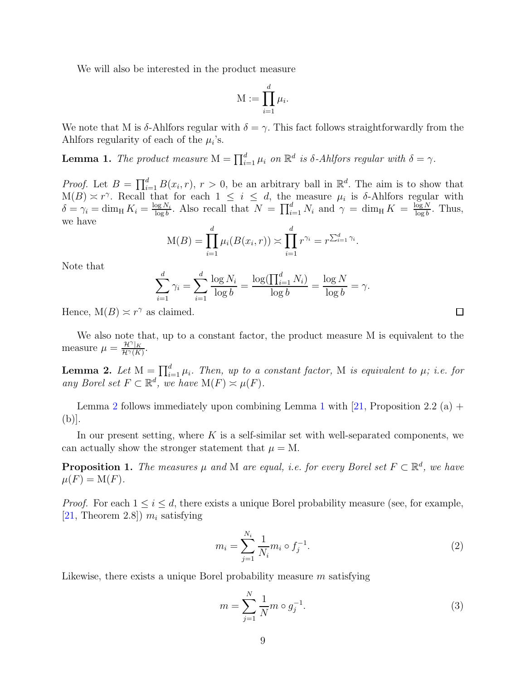<span id="page-8-5"></span>We will also be interested in the product measure

$$
M := \prod_{i=1}^d \mu_i.
$$

We note that M is δ-Ahlfors regular with  $\delta = \gamma$ . This fact follows straightforwardly from the Ahlfors regularity of each of the  $\mu_i$ 's.

<span id="page-8-1"></span>**Lemma 1.** The product measure  $M = \prod_{i=1}^{d} \mu_i$  on  $\mathbb{R}^d$  is  $\delta$ -Ahlfors regular with  $\delta = \gamma$ .

*Proof.* Let  $B = \prod_{i=1}^{d} B(x_i, r)$ ,  $r > 0$ , be an arbitrary ball in  $\mathbb{R}^d$ . The aim is to show that  $M(B) \approx r^{\gamma}$ . Recall that for each  $1 \leq i \leq d$ , the measure  $\mu_i$  is  $\delta$ -Ahlfors regular with  $\delta = \gamma_i = \dim_{\mathrm{H}} K_i = \frac{\log N_i}{\log b}$  $\frac{\log N_i}{\log b}$ . Also recall that  $N = \prod_{i=1}^d N_i$  and  $\gamma = \dim_{\rm H} K = \frac{\log N_i}{\log b}$  $\frac{\log N}{\log b}$ . Thus, we have

$$
M(B) = \prod_{i=1}^{d} \mu_i(B(x_i, r)) \asymp \prod_{i=1}^{d} r^{\gamma_i} = r^{\sum_{i=1}^{d} \gamma_i}.
$$

Note that

$$
\sum_{i=1}^{d} \gamma_i = \sum_{i=1}^{d} \frac{\log N_i}{\log b} = \frac{\log(\prod_{i=1}^{d} N_i)}{\log b} = \frac{\log N}{\log b} = \gamma.
$$

Hence,  $M(B) \simeq r^{\gamma}$  as claimed.

We also note that, up to a constant factor, the product measure M is equivalent to the measure  $\mu = \frac{\mathcal{H}^{\gamma}|_K}{\mathcal{H}^{\gamma}(K)}$  $\frac{\mathcal{H}^{\,\prime}|K}{\mathcal{H}^{\gamma}(K)}.$ 

<span id="page-8-0"></span>**Lemma 2.** Let  $M = \prod_{i=1}^{d} \mu_i$ . Then, up to a constant factor, M is equivalent to  $\mu$ ; i.e. for any Borel set  $F \subset \mathbb{R}^d$ , we have  $M(F) \asymp \mu(F)$ .

Lemma [2](#page-8-0) follows immediately upon combining Lemma [1](#page-8-1) with [\[21,](#page-17-17) Proposition 2.2 (a) + (b)].

In our present setting, where K is a self-similar set with well-separated components, we can actually show the stronger statement that  $\mu = M$ .

<span id="page-8-4"></span>**Proposition 1.** The measures  $\mu$  and M are equal, i.e. for every Borel set  $F \subset \mathbb{R}^d$ , we have  $\mu(F) = M(F).$ 

*Proof.* For each  $1 \leq i \leq d$ , there exists a unique Borel probability measure (see, for example, [\[21,](#page-17-17) Theorem 2.8])  $m_i$  satisfying

$$
m_i = \sum_{j=1}^{N_i} \frac{1}{N_i} m_i \circ f_j^{-1}.
$$
\n(2)

Likewise, there exists a unique Borel probability measure  $m$  satisfying

<span id="page-8-3"></span>
$$
m = \sum_{j=1}^{N} \frac{1}{N} m \circ g_j^{-1}.
$$
 (3)

<span id="page-8-2"></span> $\Box$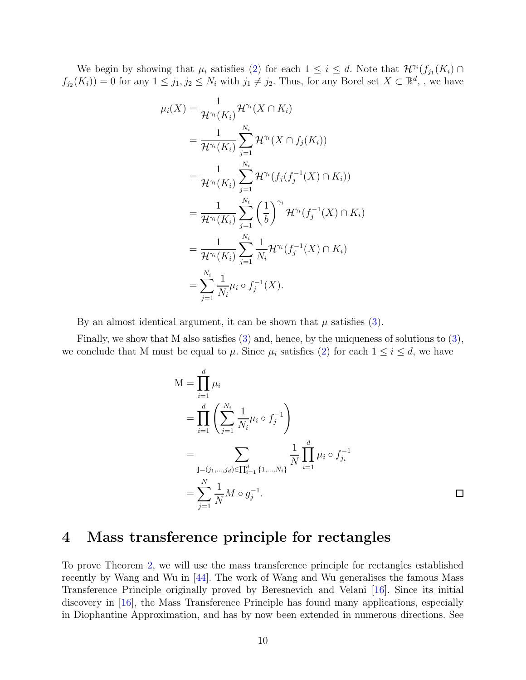<span id="page-9-1"></span>We begin by showing that  $\mu_i$  satisfies [\(2\)](#page-8-2) for each  $1 \leq i \leq d$ . Note that  $\mathcal{H}^{\gamma_i}(f_{j_1}(K_i) \cap$  $f_{j_2}(K_i) = 0$  for any  $1 \leq j_1, j_2 \leq N_i$  with  $j_1 \neq j_2$ . Thus, for any Borel set  $X \subset \mathbb{R}^d$ , we have

$$
\mu_i(X) = \frac{1}{\mathcal{H}^{\gamma_i}(K_i)} \mathcal{H}^{\gamma_i}(X \cap K_i)
$$
  
\n
$$
= \frac{1}{\mathcal{H}^{\gamma_i}(K_i)} \sum_{j=1}^{N_i} \mathcal{H}^{\gamma_i}(X \cap f_j(K_i))
$$
  
\n
$$
= \frac{1}{\mathcal{H}^{\gamma_i}(K_i)} \sum_{j=1}^{N_i} \mathcal{H}^{\gamma_i}(f_j(f_j^{-1}(X) \cap K_i))
$$
  
\n
$$
= \frac{1}{\mathcal{H}^{\gamma_i}(K_i)} \sum_{j=1}^{N_i} \left(\frac{1}{b}\right)^{\gamma_i} \mathcal{H}^{\gamma_i}(f_j^{-1}(X) \cap K_i)
$$
  
\n
$$
= \frac{1}{\mathcal{H}^{\gamma_i}(K_i)} \sum_{j=1}^{N_i} \frac{1}{N_i} \mathcal{H}^{\gamma_i}(f_j^{-1}(X) \cap K_i)
$$
  
\n
$$
= \sum_{j=1}^{N_i} \frac{1}{N_i} \mu_i \circ f_j^{-1}(X).
$$

By an almost identical argument, it can be shown that  $\mu$  satisfies [\(3\)](#page-8-3).

Finally, we show that M also satisfies  $(3)$  and, hence, by the uniqueness of solutions to  $(3)$ , we conclude that M must be equal to  $\mu$ . Since  $\mu_i$  satisfies [\(2\)](#page-8-2) for each  $1 \leq i \leq d$ , we have

$$
M = \prod_{i=1}^{d} \mu_i
$$
  
= 
$$
\prod_{i=1}^{d} \left( \sum_{j=1}^{N_i} \frac{1}{N_i} \mu_i \circ f_j^{-1} \right)
$$
  
= 
$$
\sum_{\mathbf{j} = (j_1, \dots, j_d) \in \prod_{i=1}^{d} \{1, \dots, N_i\}} \frac{1}{N} \prod_{i=1}^{d} \mu_i \circ f_{j_i}^{-1}
$$
  
= 
$$
\sum_{j=1}^{N} \frac{1}{N} M \circ g_j^{-1}.
$$

## <span id="page-9-0"></span>4 Mass transference principle for rectangles

To prove Theorem [2,](#page-5-0) we will use the mass transference principle for rectangles established recently by Wang and Wu in [\[44\]](#page-18-11). The work of Wang and Wu generalises the famous Mass Transference Principle originally proved by Beresnevich and Velani [\[16\]](#page-17-18). Since its initial discovery in [\[16\]](#page-17-18), the Mass Transference Principle has found many applications, especially in Diophantine Approximation, and has by now been extended in numerous directions. See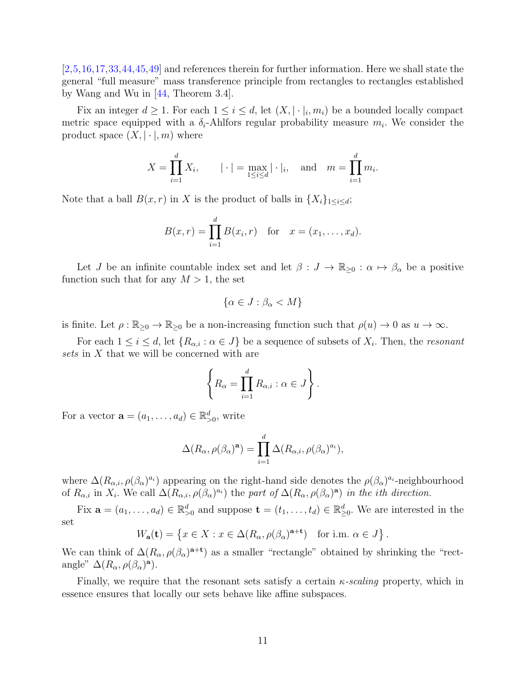<span id="page-10-0"></span>[\[2,](#page-16-8)[5,](#page-16-9)[16,](#page-17-18)[17](#page-17-19)[,33,](#page-18-14)[44,](#page-18-11)[45](#page-18-15)[,49\]](#page-18-16) and references therein for further information. Here we shall state the general "full measure" mass transference principle from rectangles to rectangles established by Wang and Wu in [\[44,](#page-18-11) Theorem 3.4].

Fix an integer  $d \geq 1$ . For each  $1 \leq i \leq d$ , let  $(X, |\cdot|_i, m_i)$  be a bounded locally compact metric space equipped with a  $\delta_i$ -Ahlfors regular probability measure  $m_i$ . We consider the product space  $(X, \vert \cdot \vert, m)$  where

$$
X = \prod_{i=1}^{d} X_i
$$
,  $|\cdot| = \max_{1 \le i \le d} |\cdot|_i$ , and  $m = \prod_{i=1}^{d} m_i$ .

Note that a ball  $B(x, r)$  in X is the product of balls in  $\{X_i\}_{1\leq i\leq d}$ ;

$$
B(x,r) = \prod_{i=1}^{d} B(x_i,r)
$$
 for  $x = (x_1,...,x_d)$ .

Let J be an infinite countable index set and let  $\beta: J \to \mathbb{R}_{\geq 0} : \alpha \mapsto \beta_\alpha$  be a positive function such that for any  $M > 1$ , the set

$$
\{\alpha \in J : \beta_{\alpha} < M\}
$$

is finite. Let  $\rho : \mathbb{R}_{\geq 0} \to \mathbb{R}_{\geq 0}$  be a non-increasing function such that  $\rho(u) \to 0$  as  $u \to \infty$ .

For each  $1 \leq i \leq d$ , let  $\{R_{\alpha,i} : \alpha \in J\}$  be a sequence of subsets of  $X_i$ . Then, the *resonant* sets in X that we will be concerned with are

$$
\left\{ R_{\alpha} = \prod_{i=1}^{d} R_{\alpha,i} : \alpha \in J \right\}.
$$

For a vector  $\mathbf{a} = (a_1, \ldots, a_d) \in \mathbb{R}^d_{>0}$ , write

$$
\Delta(R_{\alpha}, \rho(\beta_{\alpha})^{\mathbf{a}}) = \prod_{i=1}^{d} \Delta(R_{\alpha,i}, \rho(\beta_{\alpha})^{a_i}),
$$

where  $\Delta(R_{\alpha,i}, \rho(\beta_\alpha)^{a_i})$  appearing on the right-hand side denotes the  $\rho(\beta_\alpha)^{a_i}$ -neighbourhood of  $R_{\alpha,i}$  in  $X_i$ . We call  $\Delta(R_{\alpha,i}, \rho(\beta_{\alpha})^{a_i})$  the part of  $\Delta(R_{\alpha}, \rho(\beta_{\alpha})^{\alpha})$  in the ith direction.

Fix  $\mathbf{a} = (a_1, \ldots, a_d) \in \mathbb{R}_{\geq 0}^d$  and suppose  $\mathbf{t} = (t_1, \ldots, t_d) \in \mathbb{R}_{\geq 0}^d$ . We are interested in the set

$$
W_{\mathbf{a}}(\mathbf{t}) = \left\{ x \in X : x \in \Delta(R_{\alpha}, \rho(\beta_{\alpha})^{\mathbf{a}+\mathbf{t}}) \text{ for i.m. } \alpha \in J \right\}.
$$

We can think of  $\Delta(R_\alpha, \rho(\beta_\alpha)^{a+t})$  as a smaller "rectangle" obtained by shrinking the "rectangle"  $\Delta(R_\alpha, \rho(\beta_\alpha)^{\mathbf{a}})$ .

Finally, we require that the resonant sets satisfy a certain  $\kappa$ -scaling property, which in essence ensures that locally our sets behave like affine subspaces.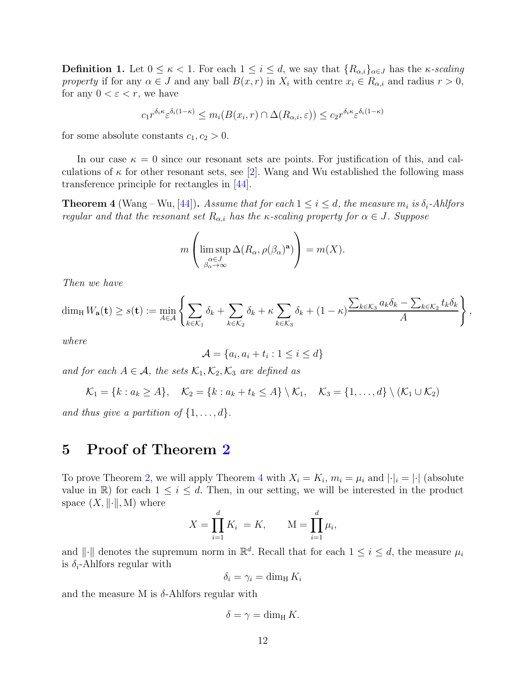<span id="page-11-2"></span>**Definition 1.** Let  $0 \le \kappa < 1$ . For each  $1 \le i \le d$ , we say that  $\{R_{\alpha,i}\}_{{\alpha \in J}}$  has the  $\kappa$ -scaling property if for any  $\alpha \in J$  and any ball  $B(x, r)$  in  $X_i$  with centre  $x_i \in R_{\alpha,i}$  and radius  $r > 0$ , for any  $0 < \varepsilon < r$ , we have

$$
c_1 r^{\delta_i \kappa} \varepsilon^{\delta_i (1-\kappa)} \le m_i(B(x_i, r) \cap \Delta(R_{\alpha,i}, \varepsilon)) \le c_2 r^{\delta_i \kappa} \varepsilon^{\delta_i (1-\kappa)}
$$

for some absolute constants  $c_1, c_2 > 0$ .

In our case  $\kappa = 0$  since our resonant sets are points. For justification of this, and calculations of  $\kappa$  for other resonant sets, see [\[2\]](#page-16-8). Wang and Wu established the following mass transference principle for rectangles in [\[44\]](#page-18-11).

<span id="page-11-1"></span>**Theorem 4** (Wang – Wu, [\[44\]](#page-18-11)). Assume that for each  $1 \leq i \leq d$ , the measure  $m_i$  is  $\delta_i$ -Ahlfors regular and that the resonant set  $R_{\alpha,i}$  has the  $\kappa$ -scaling property for  $\alpha \in J$ . Suppose

$$
m\left(\limsup_{\substack{\alpha \in J \\ \beta_{\alpha} \to \infty}} \Delta(R_{\alpha}, \rho(\beta_{\alpha})^{\mathbf{a}})\right) = m(X).
$$

Then we have

$$
\dim_{\mathrm{H}} W_{\mathbf{a}}(\mathbf{t}) \ge s(\mathbf{t}) := \min_{A \in \mathcal{A}} \left\{ \sum_{k \in \mathcal{K}_1} \delta_k + \sum_{k \in \mathcal{K}_2} \delta_k + \kappa \sum_{k \in \mathcal{K}_3} \delta_k + (1 - \kappa) \frac{\sum_{k \in \mathcal{K}_3} a_k \delta_k - \sum_{k \in \mathcal{K}_2} t_k \delta_k}{A} \right\},
$$

where

$$
\mathcal{A} = \{a_i, a_i + t_i : 1 \le i \le d\}
$$

and for each  $A \in \mathcal{A}$ , the sets  $\mathcal{K}_1, \mathcal{K}_2, \mathcal{K}_3$  are defined as

$$
\mathcal{K}_1 = \{k : a_k \geq A\}, \quad \mathcal{K}_2 = \{k : a_k + t_k \leq A\} \setminus \mathcal{K}_1, \quad \mathcal{K}_3 = \{1, \ldots, d\} \setminus (\mathcal{K}_1 \cup \mathcal{K}_2)
$$

<span id="page-11-0"></span>and thus give a partition of  $\{1, \ldots, d\}$ .

#### 5 Proof of Theorem [2](#page-5-0)

To prove Theorem [2,](#page-5-0) we will apply Theorem [4](#page-11-1) with  $X_i = K_i$ ,  $m_i = \mu_i$  and  $|\cdot|_i = |\cdot|$  (absolute value in R) for each  $1 \leq i \leq d$ . Then, in our setting, we will be interested in the product space  $(X, \|\cdot\|, M)$  where

$$
X = \prod_{i=1}^{d} K_i = K,
$$
  $M = \prod_{i=1}^{d} \mu_i,$ 

and  $\|\cdot\|$  denotes the supremum norm in  $\mathbb{R}^d$ . Recall that for each  $1 \leq i \leq d$ , the measure  $\mu_i$ is  $\delta_i$ -Ahlfors regular with

$$
\delta_i = \gamma_i = \dim_{\mathrm{H}} K_i
$$

and the measure M is  $\delta$ -Ahlfors regular with

$$
\delta = \gamma = \dim_{\mathrm{H}} K.
$$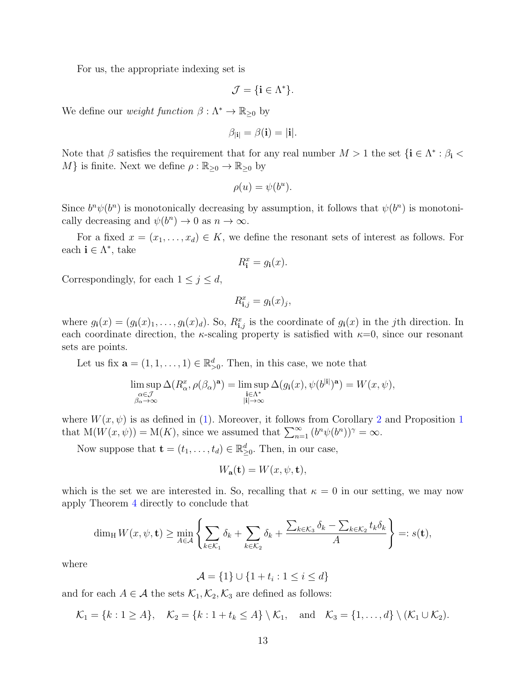For us, the appropriate indexing set is

$$
\mathcal{J} = \{ \mathbf{i} \in \Lambda^* \}.
$$

We define our *weight function*  $\beta : \Lambda^* \to \mathbb{R}_{\geq 0}$  by

$$
\beta_{|\mathbf{i}|} = \beta(\mathbf{i}) = |\mathbf{i}|.
$$

Note that  $\beta$  satisfies the requirement that for any real number  $M > 1$  the set  $\{i \in \Lambda^* : \beta_i < \lambda\}$ M} is finite. Next we define  $\rho : \mathbb{R}_{\geq 0} \to \mathbb{R}_{\geq 0}$  by

$$
\rho(u) = \psi(b^u).
$$

Since  $b^n \psi(b^n)$  is monotonically decreasing by assumption, it follows that  $\psi(b^n)$  is monotonically decreasing and  $\psi(b^n) \to 0$  as  $n \to \infty$ .

For a fixed  $x = (x_1, \ldots, x_d) \in K$ , we define the resonant sets of interest as follows. For each  $\mathbf{i} \in \Lambda^*$ , take

$$
R_{\mathbf{i}}^{x} = g_{\mathbf{i}}(x).
$$

Correspondingly, for each  $1 \leq j \leq d$ ,

$$
R_{\mathbf{i},j}^x = g_\mathbf{i}(x)_j,
$$

where  $g_i(x) = (g_i(x)_1, \ldots, g_i(x)_d)$ . So,  $R_{i,j}^x$  is the coordinate of  $g_i(x)$  in the *j*th direction. In each coordinate direction, the  $\kappa$ -scaling property is satisfied with  $\kappa=0$ , since our resonant sets are points.

Let us fix  $\mathbf{a} = (1, 1, \dots, 1) \in \mathbb{R}_{>0}^d$ . Then, in this case, we note that

$$
\limsup_{\substack{\alpha \in \mathcal{J} \\ \beta_{\alpha} \to \infty}} \Delta(R_{\alpha}^x, \rho(\beta_{\alpha})^{\mathbf{a}}) = \limsup_{\substack{\mathbf{i} \in \Lambda^* \\ |\mathbf{i}| \to \infty}} \Delta(g_{\mathbf{i}}(x), \psi(b^{|\mathbf{i}|})^{\mathbf{a}}) = W(x, \psi),
$$

where  $W(x, \psi)$  is as defined in [\(1\)](#page-4-2). Moreover, it follows from Corollary [2](#page-4-3) and Proposition [1](#page-8-4) that  $M(W(x, \psi)) = M(K)$ , since we assumed that  $\sum_{n=1}^{\infty} (b^n \psi(b^n))^{\gamma} = \infty$ .

Now suppose that  $\mathbf{t} = (t_1, \ldots, t_d) \in \mathbb{R}_{\geq 0}^d$ . Then, in our case,

$$
W_{\mathbf{a}}(\mathbf{t}) = W(x, \psi, \mathbf{t}),
$$

which is the set we are interested in. So, recalling that  $\kappa = 0$  in our setting, we may now apply Theorem [4](#page-11-1) directly to conclude that

$$
\dim_{\mathrm{H}} W(x,\psi,\mathbf{t}) \geq \min_{A \in \mathcal{A}} \left\{ \sum_{k \in \mathcal{K}_1} \delta_k + \sum_{k \in \mathcal{K}_2} \delta_k + \frac{\sum_{k \in \mathcal{K}_3} \delta_k - \sum_{k \in \mathcal{K}_2} t_k \delta_k}{A} \right\} =: s(\mathbf{t}),
$$

where

$$
\mathcal{A} = \{1\} \cup \{1+t_i : 1 \le i \le d\}
$$

and for each  $A \in \mathcal{A}$  the sets  $\mathcal{K}_1, \mathcal{K}_2, \mathcal{K}_3$  are defined as follows:

$$
\mathcal{K}_1 = \{k : 1 \geq A\}, \quad \mathcal{K}_2 = \{k : 1 + t_k \leq A\} \setminus \mathcal{K}_1, \quad \text{and} \quad \mathcal{K}_3 = \{1, \ldots, d\} \setminus (\mathcal{K}_1 \cup \mathcal{K}_2).
$$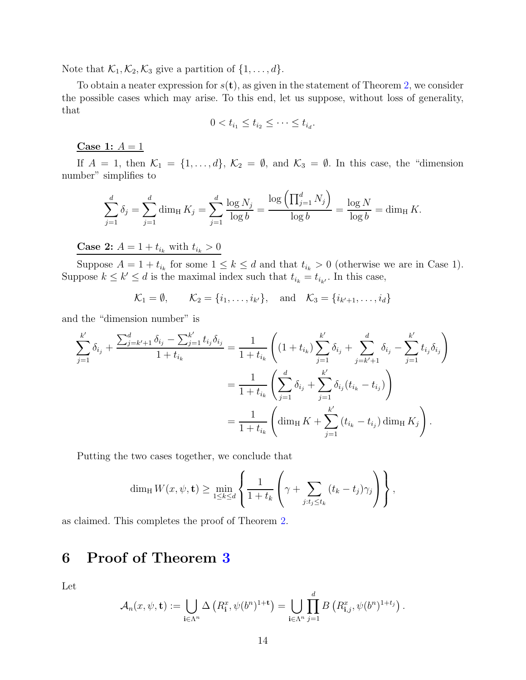Note that  $\mathcal{K}_1, \mathcal{K}_2, \mathcal{K}_3$  give a partition of  $\{1, \ldots, d\}$ .

To obtain a neater expression for  $s(t)$ , as given in the statement of Theorem [2,](#page-5-0) we consider the possible cases which may arise. To this end, let us suppose, without loss of generality, that

$$
0 < t_{i_1} \leq t_{i_2} \leq \cdots \leq t_{i_d}.
$$

Case 1:  $A = 1$ 

If  $A = 1$ , then  $\mathcal{K}_1 = \{1, ..., d\}$ ,  $\mathcal{K}_2 = \emptyset$ , and  $\mathcal{K}_3 = \emptyset$ . In this case, the "dimension number" simplifies to

$$
\sum_{j=1}^{d} \delta_j = \sum_{j=1}^{d} \dim_H K_j = \sum_{j=1}^{d} \frac{\log N_j}{\log b} = \frac{\log \left( \prod_{j=1}^{d} N_j \right)}{\log b} = \frac{\log N}{\log b} = \dim_H K.
$$

**Case 2:**  $A = 1 + t_{i_k}$  with  $t_{i_k} > 0$ 

Suppose  $A = 1 + t_{i_k}$  for some  $1 \leq k \leq d$  and that  $t_{i_k} > 0$  (otherwise we are in Case 1). Suppose  $k \leq k' \leq d$  is the maximal index such that  $t_{i_k} = t_{i_{k'}}$ . In this case,

 $\mathcal{K}_1 = \emptyset, \qquad \mathcal{K}_2 = \{i_1, \ldots, i_{k'}\}, \quad \text{and} \quad \mathcal{K}_3 = \{i_{k'+1}, \ldots, i_d\}$ 

and the "dimension number" is

$$
\sum_{j=1}^{k'} \delta_{i_j} + \frac{\sum_{j=k'+1}^{d} \delta_{i_j} - \sum_{j=1}^{k'} t_{i_j} \delta_{i_j}}{1 + t_{i_k}} = \frac{1}{1 + t_{i_k}} \left( (1 + t_{i_k}) \sum_{j=1}^{k'} \delta_{i_j} + \sum_{j=k'+1}^{d} \delta_{i_j} - \sum_{j=1}^{k'} t_{i_j} \delta_{i_j} \right)
$$
  

$$
= \frac{1}{1 + t_{i_k}} \left( \sum_{j=1}^{d} \delta_{i_j} + \sum_{j=1}^{k'} \delta_{i_j} (t_{i_k} - t_{i_j}) \right)
$$
  

$$
= \frac{1}{1 + t_{i_k}} \left( \dim_{\text{H}} K + \sum_{j=1}^{k'} (t_{i_k} - t_{i_j}) \dim_{\text{H}} K_j \right).
$$

Putting the two cases together, we conclude that

$$
\dim_{\mathrm{H}} W(x,\psi,\mathbf{t}) \geq \min_{1 \leq k \leq d} \left\{ \frac{1}{1+t_k} \left( \gamma + \sum_{j:t_j \leq t_k} (t_k - t_j) \gamma_j \right) \right\},\,
$$

<span id="page-13-0"></span>as claimed. This completes the proof of Theorem [2.](#page-5-0)

# 6 Proof of Theorem [3](#page-5-1)

Let

$$
\mathcal{A}_n(x,\psi,\mathbf{t}) := \bigcup_{\mathbf{i}\in\Lambda^n} \Delta\left(R_{\mathbf{i}}^x,\psi(b^n)^{1+\mathbf{t}}\right) = \bigcup_{\mathbf{i}\in\Lambda^n} \prod_{j=1}^d B\left(R_{\mathbf{i},j}^x,\psi(b^n)^{1+t_j}\right).
$$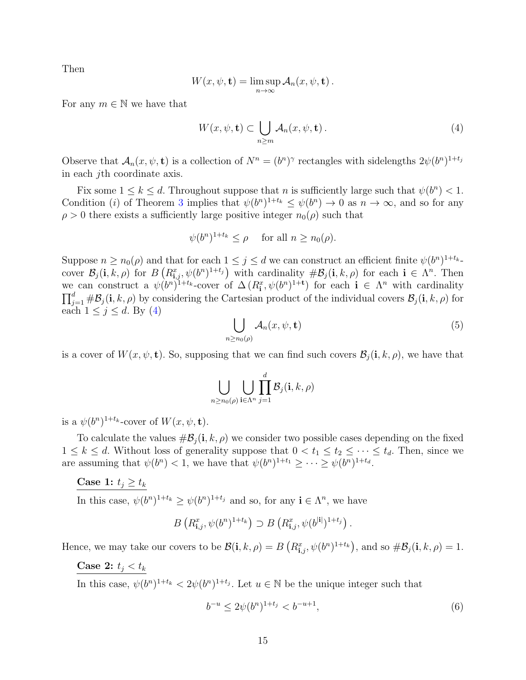Then

$$
W(x, \psi, \mathbf{t}) = \limsup_{n \to \infty} \mathcal{A}_n(x, \psi, \mathbf{t}).
$$

For any  $m \in \mathbb{N}$  we have that

<span id="page-14-0"></span>
$$
W(x, \psi, \mathbf{t}) \subset \bigcup_{n \ge m} \mathcal{A}_n(x, \psi, \mathbf{t}). \tag{4}
$$

Observe that  $\mathcal{A}_n(x, \psi, \mathbf{t})$  is a collection of  $N^n = (b^n)^\gamma$  rectangles with sidelengths  $2\psi(b^n)^{1+t_j}$ in each jth coordinate axis.

Fix some  $1 \leq k \leq d$ . Throughout suppose that n is sufficiently large such that  $\psi(b^n) < 1$ . Condition (*i*) of Theorem [3](#page-5-1) implies that  $\psi(b^n)^{1+t_k} \leq \psi(b^n) \to 0$  as  $n \to \infty$ , and so for any  $\rho > 0$  there exists a sufficiently large positive integer  $n_0(\rho)$  such that

$$
\psi(b^n)^{1+t_k} \le \rho \quad \text{ for all } n \ge n_0(\rho).
$$

Suppose  $n \ge n_0(\rho)$  and that for each  $1 \le j \le d$  we can construct an efficient finite  $\psi(b^n)^{1+t_{k-1}}$ cover  $\mathcal{B}_j(\mathbf{i}, k, \rho)$  for  $B\left(R^x_{\mathbf{i},j}, \psi(b^n)^{1+t_j}\right)$  with cardinality  $\#\mathcal{B}_j(\mathbf{i}, k, \rho)$  for each  $\mathbf{i} \in \Lambda^n$ . Then we can construct a  $\psi(b^n)^{1+t_k}$ -cover of  $\Delta(R_i^x, \psi(b^n)^{1+t})$  for each  $i \in \Lambda^n$  with cardinality  $\prod_{j=1}^d \#B_j(i, k, \rho)$  by considering the Cartesian product of the individual covers  $B_j(i, k, \rho)$  for each  $1 \leq j \leq d$ . By [\(4\)](#page-14-0)

$$
\bigcup_{n \ge n_0(\rho)} \mathcal{A}_n(x, \psi, \mathbf{t}) \tag{5}
$$

is a cover of  $W(x, \psi, \mathbf{t})$ . So, supposing that we can find such covers  $\mathcal{B}_j(\mathbf{i}, k, \rho)$ , we have that

$$
\bigcup_{n\geq n_0(\rho)}\bigcup_{\mathbf i\in \Lambda^n}\prod_{j=1}^d\mathcal B_j(\mathbf i,k,\rho)
$$

is a  $\psi(b^n)^{1+t_k}$ -cover of  $W(x, \psi, \mathbf{t})$ .

To calculate the values  $\#\mathcal{B}_j(i, k, \rho)$  we consider two possible cases depending on the fixed  $1 \leq k \leq d$ . Without loss of generality suppose that  $0 < t_1 \leq t_2 \leq \cdots \leq t_d$ . Then, since we are assuming that  $\psi(b^n) < 1$ , we have that  $\psi(b^n)^{1+t_1} \geq \cdots \geq \psi(b^n)^{1+t_d}$ .

#### Case 1:  $t_j \geq t_k$

In this case,  $\psi(b^n)^{1+t_k} \geq \psi(b^n)^{1+t_j}$  and so, for any  $\mathbf{i} \in \Lambda^n$ , we have

$$
B\left(R_{\mathbf{i},j}^{x},\psi(b^{n})^{1+t_{k}}\right) \supset B\left(R_{\mathbf{i},j}^{x},\psi(b^{|\mathbf{i}|})^{1+t_{j}}\right).
$$

Hence, we may take our covers to be  $\mathcal{B}(\mathbf{i}, k, \rho) = B\left(R_{\mathbf{i},j}^x, \psi(b^n)^{1+t_k}\right)$ , and so  $\#\mathcal{B}_j(\mathbf{i}, k, \rho) = 1$ .

#### Case 2:  $t_j < t_k$

In this case,  $\psi(b^n)^{1+t_k} < 2\psi(b^n)^{1+t_j}$ . Let  $u \in \mathbb{N}$  be the unique integer such that

<span id="page-14-1"></span>
$$
b^{-u} \le 2\psi(b^n)^{1+t_j} < b^{-u+1},\tag{6}
$$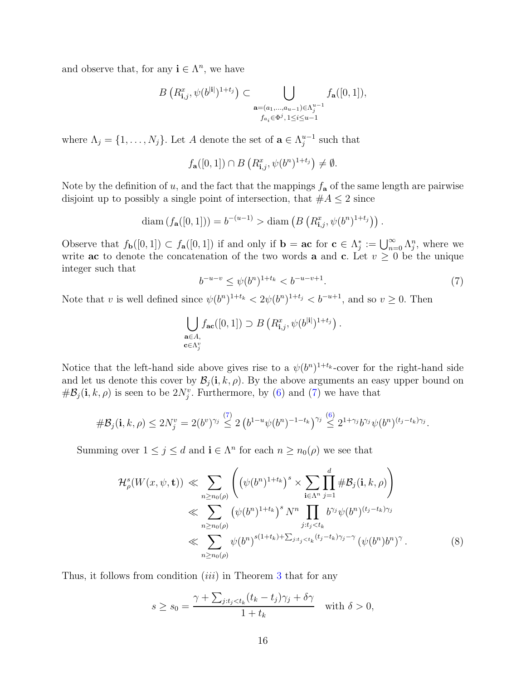and observe that, for any  $\mathbf{i} \in \Lambda^n$ , we have

$$
B\left(R_{\mathbf{i},j}^x, \psi(b^{|\mathbf{i}|})^{1+t_j}\right) \subset \bigcup_{\substack{\mathbf{a}=(a_1,\ldots,a_{u-1})\in \Lambda_j^{u-1} \\ f_{a_i}\in \Phi^j, 1\le i\le u-1}} f_{\mathbf{a}}([0,1]),
$$

where  $\Lambda_j = \{1, \ldots, N_j\}$ . Let A denote the set of  $\mathbf{a} \in \Lambda_j^{u-1}$  $_{j}^{u-1}$  such that

$$
f_{\mathbf{a}}([0,1]) \cap B\left(R_{\mathbf{i},j}^x, \psi(b^n)^{1+t_j}\right) \neq \emptyset.
$$

Note by the definition of u, and the fact that the mappings  $f_{\mathbf{a}}$  of the same length are pairwise disjoint up to possibly a single point of intersection, that  $#A \leq 2$  since

diam 
$$
(f_{\mathbf{a}}([0,1])) = b^{-(u-1)} > \text{diam} (B (R_{\mathbf{i},j}^x, \psi(b^n)^{1+t_j})).
$$

Observe that  $f_{\mathbf{b}}([0,1]) \subset f_{\mathbf{a}}([0,1])$  if and only if  $\mathbf{b} = \mathbf{ac}$  for  $\mathbf{c} \in \Lambda_j^* := \bigcup_{n=0}^{\infty} \Lambda_j^n$ , where we write ac to denote the concatenation of the two words a and c. Let  $v \geq 0$  be the unique integer such that

<span id="page-15-0"></span>
$$
b^{-u-v} \le \psi(b^n)^{1+t_k} < b^{-u-v+1}.\tag{7}
$$

Note that v is well defined since  $\psi(b^n)^{1+t_k} < 2\psi(b^n)^{1+t_j} < b^{-u+1}$ , and so  $v \ge 0$ . Then

$$
\bigcup_{\substack{\mathbf{a}\in A,\\ \mathbf{c}\in \Lambda_j^v}} f_{\mathbf{ac}}([0,1]) \supset B\left(R_{\mathbf{i},j}^x, \psi(b^{|\mathbf{i}|})^{1+t_j}\right).
$$

Notice that the left-hand side above gives rise to a  $\psi(b^n)^{1+t_k}$ -cover for the right-hand side and let us denote this cover by  $\mathcal{B}_i(i, k, \rho)$ . By the above arguments an easy upper bound on  $\#\mathcal{B}_j(i,k,\rho)$  is seen to be  $2N_j^v$ . Furthermore, by [\(6\)](#page-14-1) and [\(7\)](#page-15-0) we have that

$$
\#\mathcal{B}_j(\mathbf{i},k,\rho) \leq 2N_j^v = 2(b^v)^{\gamma_j} \stackrel{(7)}{\leq} 2\left(b^{1-u}\psi(b^n)^{-1-t_k}\right)^{\gamma_j} \stackrel{(6)}{\leq} 2^{1+\gamma_j}b^{\gamma_j}\psi(b^n)^{(t_j-t_k)\gamma_j}.
$$

Summing over  $1 \leq j \leq d$  and  $\mathbf{i} \in \Lambda^n$  for each  $n \geq n_0(\rho)$  we see that

$$
\mathcal{H}^{s}_{\rho}(W(x,\psi,\mathbf{t})) \ll \sum_{n\geq n_{0}(\rho)} \left( (\psi(b^{n})^{1+t_{k}})^{s} \times \sum_{\mathbf{i}\in\Lambda^{n}} \prod_{j=1}^{d} \# \mathcal{B}_{j}(\mathbf{i},k,\rho) \right)
$$
  

$$
\ll \sum_{n\geq n_{0}(\rho)} (\psi(b^{n})^{1+t_{k}})^{s} N^{n} \prod_{j:t_{j}< t_{k}} b^{\gamma_{j}} \psi(b^{n})^{(t_{j}-t_{k})\gamma_{j}}
$$
  

$$
\ll \sum_{n\geq n_{0}(\rho)} \psi(b^{n})^{s(1+t_{k})+\sum_{j:t_{j}< t_{k}} (t_{j}-t_{k})\gamma_{j}-\gamma} (\psi(b^{n})b^{n})^{\gamma}.
$$
 (8)

Thus, it follows from condition  $(iii)$  in Theorem [3](#page-5-1) that for any

$$
s \ge s_0 = \frac{\gamma + \sum_{j:t_j < t_k} (t_k - t_j)\gamma_j + \delta \gamma}{1 + t_k} \quad \text{with } \delta > 0,
$$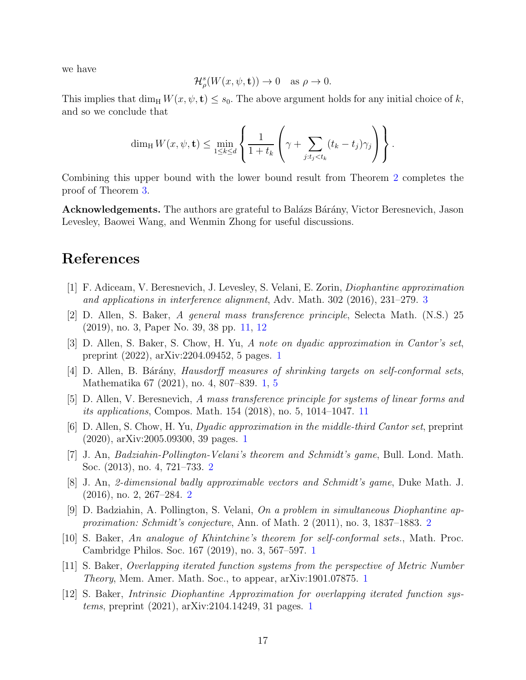we have

$$
\mathcal{H}^s_{\rho}(W(x,\psi,\mathbf{t})) \to 0 \quad \text{as } \rho \to 0.
$$

This implies that dim<sub>H</sub>  $W(x, \psi, t) \leq s_0$ . The above argument holds for any initial choice of k, and so we conclude that

$$
\dim_{\mathrm{H}} W(x, \psi, \mathbf{t}) \leq \min_{1 \leq k \leq d} \left\{ \frac{1}{1+t_k} \left( \gamma + \sum_{j:t_j < t_k} (t_k - t_j) \gamma_j \right) \right\}.
$$

Combining this upper bound with the lower bound result from Theorem [2](#page-5-0) completes the proof of Theorem [3.](#page-5-1)

Acknowledgements. The authors are grateful to Balázs Bárány, Victor Beresnevich, Jason Levesley, Baowei Wang, and Wenmin Zhong for useful discussions.

#### <span id="page-16-7"></span>References

- <span id="page-16-8"></span>[1] F. Adiceam, V. Beresnevich, J. Levesley, S. Velani, E. Zorin, Diophantine approximation and applications in interference alignment, Adv. Math. 302 (2016), 231–279. [3](#page-2-0)
- <span id="page-16-0"></span>[2] D. Allen, S. Baker, A general mass transference principle, Selecta Math. (N.S.) 25 (2019), no. 3, Paper No. 39, 38 pp. [11,](#page-10-0) [12](#page-11-2)
- <span id="page-16-2"></span>[3] D. Allen, S. Baker, S. Chow, H. Yu, A note on dyadic approximation in Cantor's set, preprint (2022), arXiv:2204.09452, 5 pages. [1](#page-0-1)
- <span id="page-16-9"></span>[4] D. Allen, B. Bárány, *Hausdorff measures of shrinking targets on self-conformal sets*, Mathematika 67 (2021), no. 4, 807–839. [1,](#page-0-1) [5](#page-4-4)
- <span id="page-16-1"></span>[5] D. Allen, V. Beresnevich, A mass transference principle for systems of linear forms and its applications, Compos. Math. 154 (2018), no. 5, 1014–1047. [11](#page-10-0)
- <span id="page-16-5"></span>[6] D. Allen, S. Chow, H. Yu, Dyadic approximation in the middle-third Cantor set, preprint (2020), arXiv:2005.09300, 39 pages. [1](#page-0-1)
- [7] J. An, Badziahin-Pollington-Velani's theorem and Schmidt's game, Bull. Lond. Math. Soc. (2013), no. 4, 721–733. [2](#page-1-0)
- <span id="page-16-6"></span>[8] J. An, 2-dimensional badly approximable vectors and Schmidt's game, Duke Math. J. (2016), no. 2, 267–284. [2](#page-1-0)
- <span id="page-16-3"></span>[9] D. Badziahin, A. Pollington, S. Velani, On a problem in simultaneous Diophantine approximation: Schmidt's conjecture, Ann. of Math. 2 (2011), no. 3, 1837–1883. [2](#page-1-0)
- [10] S. Baker, An analogue of Khintchine's theorem for self-conformal sets., Math. Proc. Cambridge Philos. Soc. 167 (2019), no. 3, 567–597. [1](#page-0-1)
- <span id="page-16-4"></span>[11] S. Baker, Overlapping iterated function systems from the perspective of Metric Number Theory, Mem. Amer. Math. Soc., to appear, arXiv:1901.07875. [1](#page-0-1)
- [12] S. Baker, Intrinsic Diophantine Approximation for overlapping iterated function systems, preprint (2021), arXiv:2104.14249, 31 pages. [1](#page-0-1)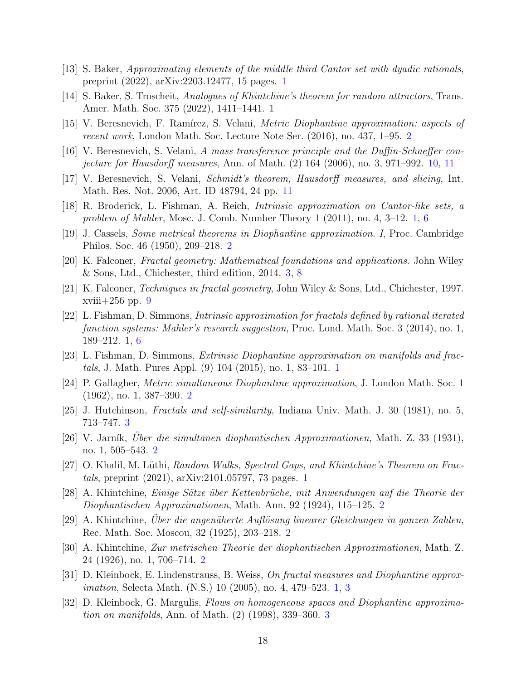- <span id="page-17-1"></span><span id="page-17-0"></span>[13] S. Baker, Approximating elements of the middle third Cantor set with dyadic rationals, preprint (2022), arXiv:2203.12477, 15 pages. [1](#page-0-1)
- <span id="page-17-7"></span>[14] S. Baker, S. Troscheit, Analogues of Khintchine's theorem for random attractors, Trans. Amer. Math. Soc. 375 (2022), 1411–1441. [1](#page-0-1)
- <span id="page-17-18"></span>[15] V. Beresnevich, F. Ramírez, S. Velani, *Metric Diophantine approximation: aspects of* recent work, London Math. Soc. Lecture Note Ser. (2016), no. 437, 1–95. [2](#page-1-0)
- <span id="page-17-19"></span>[16] V. Beresnevich, S. Velani, A mass transference principle and the Duffin-Schaeffer conjecture for Hausdorff measures, Ann. of Math. (2) 164 (2006), no. 3, 971–992. [10,](#page-9-1) [11](#page-10-0)
- <span id="page-17-2"></span>[17] V. Beresnevich, S. Velani, Schmidt's theorem, Hausdorff measures, and slicing, Int. Math. Res. Not. 2006, Art. ID 48794, 24 pp. [11](#page-10-0)
- <span id="page-17-12"></span>[18] R. Broderick, L. Fishman, A. Reich, Intrinsic approximation on Cantor-like sets, a problem of Mahler, Mosc. J. Comb. Number Theory 1 (2011), no. 4, 3–12. [1,](#page-0-1) [6](#page-5-2)
- <span id="page-17-14"></span>[19] J. Cassels, Some metrical theorems in Diophantine approximation. I, Proc. Cambridge Philos. Soc. 46 (1950), 209–218. [2](#page-1-0)
- <span id="page-17-17"></span>[20] K. Falconer, Fractal geometry: Mathematical foundations and applications. John Wiley & Sons, Ltd., Chichester, third edition, 2014. [3,](#page-2-0) [8](#page-7-1)
- <span id="page-17-3"></span>[21] K. Falconer, Techniques in fractal geometry, John Wiley & Sons, Ltd., Chichester, 1997. xviii+256 pp. [9](#page-8-5)
- [22] L. Fishman, D. Simmons, Intrinsic approximation for fractals defined by rational iterated function systems: Mahler's research suggestion, Proc. Lond. Math. Soc. 3 (2014), no. 1, 189–212. [1,](#page-0-1) [6](#page-5-2)
- <span id="page-17-13"></span><span id="page-17-4"></span>[23] L. Fishman, D. Simmons, Extrinsic Diophantine approximation on manifolds and fractals, J. Math. Pures Appl. (9) 104 (2015), no. 1, 83–101. [1](#page-0-1)
- <span id="page-17-16"></span>[24] P. Gallagher, Metric simultaneous Diophantine approximation, J. London Math. Soc. 1 (1962), no. 1, 387–390. [2](#page-1-0)
- <span id="page-17-10"></span>[25] J. Hutchinson, Fractals and self-similarity, Indiana Univ. Math. J. 30 (1981), no. 5, 713–747. [3](#page-2-0)
- <span id="page-17-5"></span> $[26]$  V. Jarník, Uber die simultanen diophantischen Approximationen, Math. Z. 33 (1931), no. 1, 505–543. [2](#page-1-0)
- <span id="page-17-8"></span>[27] O. Khalil, M. Lüthi, Random Walks, Spectral Gaps, and Khintchine's Theorem on Fractals, preprint (2021), arXiv:2101.05797, 73 pages. [1](#page-0-1)
- <span id="page-17-9"></span>[28] A. Khintchine, Einige Sätze über Kettenbrüche, mit Anwendungen auf die Theorie der Diophantischen Approximationen, Math. Ann. 92 (1924), 115–125. [2](#page-1-0)
- <span id="page-17-11"></span>[29] A. Khintchine, Uber die angenäherte Auflösung linearer Gleichungen in ganzen Zahlen, Rec. Math. Soc. Moscou, 32 (1925), 203–218. [2](#page-1-0)
- <span id="page-17-6"></span>[30] A. Khintchine, Zur metrischen Theorie der diophantischen Approximationen, Math. Z. 24 (1926), no. 1, 706–714. [2](#page-1-0)
- <span id="page-17-15"></span>[31] D. Kleinbock, E. Lindenstrauss, B. Weiss, On fractal measures and Diophantine approximation, Selecta Math. (N.S.) 10 (2005), no. 4, 479–523. [1,](#page-0-1) [3](#page-2-0)
- [32] D. Kleinbock, G. Margulis, Flows on homogeneous spaces and Diophantine approximation on manifolds, Ann. of Math. (2) (1998), 339–360. [3](#page-2-0)